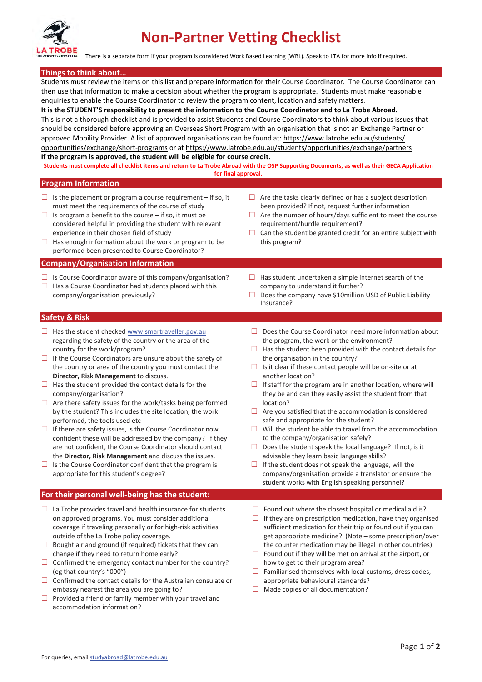

There is a separate form if your program is considered Work Based Learning (WBL). Speak to LTA for more info if required.

#### **Things to think about…**

Students must review the items on this list and prepare information for their Course Coordinator. The Course Coordinator can then use that information to make a decision about whether the program is appropriate. Students must make reasonable enquiries to enable the Course Coordinator to review the program content, location and safety matters.

**It is the STUDENT'S responsibility to present the information to the Course Coordinator and to La Trobe Abroad.** This is not a thorough checklist and is provided to assist Students and Course Coordinators to think about various issues that should be considered before approving an Overseas Short Program with an organisation that is not an Exchange Partner or approved Mobility Provider. A list of approved organisations can be found at: https://www.latrobe.edu.au/students/ opportunities/exchange/short-programs or at https://www.latrobe.edu.au/students/opportunities/exchange/partners **If the program is approved, the student will be eligible for course credit.**

**Students must complete all checklist items and return to La Trobe Abroad with the OSP Supporting Documents, as well as their GECA Application for final approval.**

#### **Program Information**

- $\Box$  Is the placement or program a course requirement if so, it must meet the requirements of the course of study
- □ Is program a benefit to the course  $-$  if so, it must be considered helpful in providing the student with relevant experience in their chosen field of study
- $\Box$  Has enough information about the work or program to be performed been presented to Course Coordinator?

#### **Company/Organisation Information**

- $\Box$  Is Course Coordinator aware of this company/organisation?
- $\Box$  Has a Course Coordinator had students placed with this company/organisation previously?
- $\Box$  Are the tasks clearly defined or has a subject description been provided? If not, request further information
- $\Box$  Are the number of hours/days sufficient to meet the course requirement/hurdle requirement?
- $\Box$  Can the student be granted credit for an entire subject with this program?
- $\Box$  Has student undertaken a simple internet search of the company to understand it further?
- $\Box$  Does the company have \$10 million USD of Public Liability Insurance?

#### **Safety & Risk**

- $\Box$  Has the student checked www.smartraveller.gov.au regarding the safety of the country or the area of the country for the work/program?
- $\Box$  If the Course Coordinators are unsure about the safety of the country or area of the country you must contact the **Director, Risk Management** to discuss.
- $\Box$  Has the student provided the contact details for the company/organisation?
- $\Box$  Are there safety issues for the work/tasks being performed by the student? This includes the site location, the work performed, the tools used etc
- $\Box$  If there are safety issues, is the Course Coordinator now confident these will be addressed by the company? If they are not confident, the Course Coordinator should contact the **Director, Risk Management** and discuss the issues.
- $\Box$  Is the Course Coordinator confident that the program is appropriate for this student's degree?

#### **For their personal well-being has the student:**

- $\Box$  La Trobe provides travel and health insurance for students on approved programs. You must consider additional coverage if traveling personally or for high-risk activities outside of the La Trobe policy coverage.
- $\Box$  Bought air and ground (if required) tickets that they can change if they need to return home early?
- $\Box$  Confirmed the emergency contact number for the country? (eg that country's "000")
- $\Box$  Confirmed the contact details for the Australian consulate or embassy nearest the area you are going to?
- $\Box$  Provided a friend or family member with your travel and accommodation information?
- $\Box$  Does the Course Coordinator need more information about the program, the work or the environment?
- $\Box$  Has the student been provided with the contact details for the organisation in the country?
- $\Box$  Is it clear if these contact people will be on-site or at another location?
- $\Box$  If staff for the program are in another location, where will they be and can they easily assist the student from that location?
- $\Box$  Are you satisfied that the accommodation is considered safe and appropriate for the student?
- $\Box$  Will the student be able to travel from the accommodation to the company/organisation safely?
- $\Box$  Does the student speak the local language? If not, is it advisable they learn basic language skills?
- $\Box$  If the student does not speak the language, will the company/organisation provide a translator or ensure the student works with English speaking personnel?
- $\Box$  Found out where the closest hospital or medical aid is?
- $\Box$  If they are on prescription medication, have they organised sufficient medication for their trip or found out if you can get appropriate medicine? (Note – some prescription/over the counter medication may be illegal in other countries)
- $\Box$  Found out if they will be met on arrival at the airport, or how to get to their program area?
- $\Box$  Familiarised themselves with local customs, dress codes, appropriate behavioural standards?
- $\Box$  Made copies of all documentation?